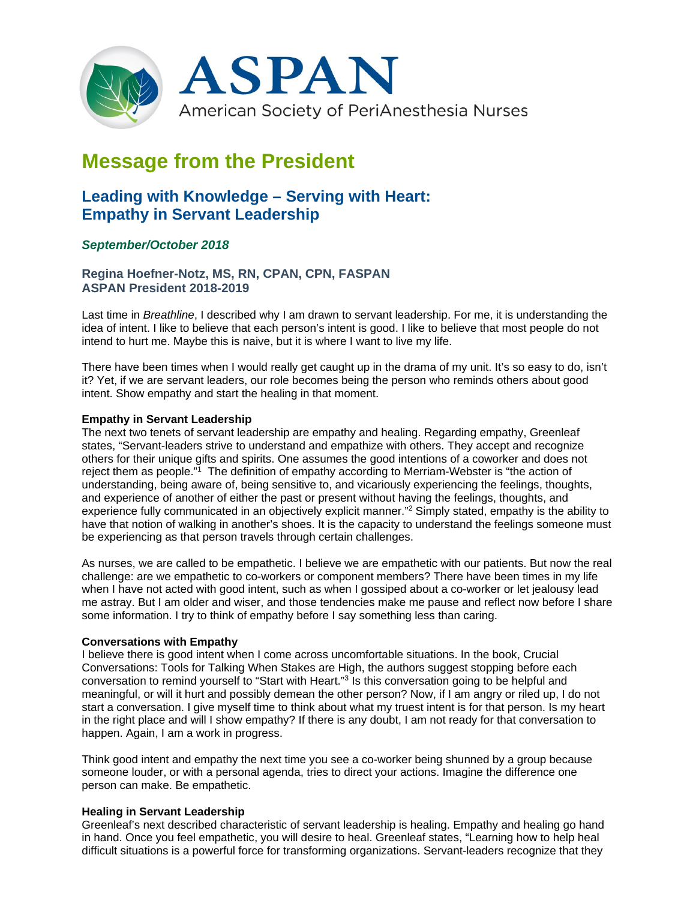

# **Message from the President**

# **Leading with Knowledge – Serving with Heart: Empathy in Servant Leadership**

# *September/October 2018*

**Regina Hoefner-Notz, MS, RN, CPAN, CPN, FASPAN ASPAN President 2018-2019**

Last time in *Breathline*, I described why I am drawn to servant leadership. For me, it is understanding the idea of intent. I like to believe that each person's intent is good. I like to believe that most people do not intend to hurt me. Maybe this is naive, but it is where I want to live my life.

There have been times when I would really get caught up in the drama of my unit. It's so easy to do, isn't it? Yet, if we are servant leaders, our role becomes being the person who reminds others about good intent. Show empathy and start the healing in that moment.

#### **Empathy in Servant Leadership**

The next two tenets of servant leadership are empathy and healing. Regarding empathy, Greenleaf states, "Servant-leaders strive to understand and empathize with others. They accept and recognize others for their unique gifts and spirits. One assumes the good intentions of a coworker and does not reject them as people."1 The definition of empathy according to Merriam-Webster is "the action of understanding, being aware of, being sensitive to, and vicariously experiencing the feelings, thoughts, and experience of another of either the past or present without having the feelings, thoughts, and experience fully communicated in an objectively explicit manner."<sup>2</sup> Simply stated, empathy is the ability to have that notion of walking in another's shoes. It is the capacity to understand the feelings someone must be experiencing as that person travels through certain challenges.

As nurses, we are called to be empathetic. I believe we are empathetic with our patients. But now the real challenge: are we empathetic to co-workers or component members? There have been times in my life when I have not acted with good intent, such as when I gossiped about a co-worker or let jealousy lead me astray. But I am older and wiser, and those tendencies make me pause and reflect now before I share some information. I try to think of empathy before I say something less than caring.

#### **Conversations with Empathy**

I believe there is good intent when I come across uncomfortable situations. In the book, Crucial Conversations: Tools for Talking When Stakes are High, the authors suggest stopping before each conversation to remind yourself to "Start with Heart."3 Is this conversation going to be helpful and meaningful, or will it hurt and possibly demean the other person? Now, if I am angry or riled up, I do not start a conversation. I give myself time to think about what my truest intent is for that person. Is my heart in the right place and will I show empathy? If there is any doubt, I am not ready for that conversation to happen. Again, I am a work in progress.

Think good intent and empathy the next time you see a co-worker being shunned by a group because someone louder, or with a personal agenda, tries to direct your actions. Imagine the difference one person can make. Be empathetic.

## **Healing in Servant Leadership**

Greenleaf's next described characteristic of servant leadership is healing. Empathy and healing go hand in hand. Once you feel empathetic, you will desire to heal. Greenleaf states, "Learning how to help heal difficult situations is a powerful force for transforming organizations. Servant-leaders recognize that they